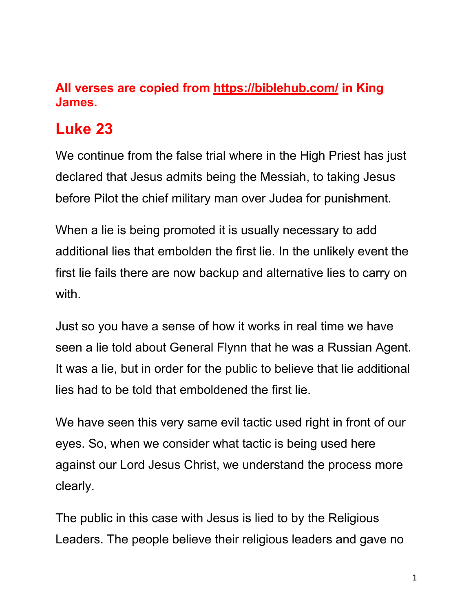## **All verses are copied from https://biblehub.com/ in King James.**

# **Luke 23**

We continue from the false trial where in the High Priest has just declared that Jesus admits being the Messiah, to taking Jesus before Pilot the chief military man over Judea for punishment.

When a lie is being promoted it is usually necessary to add additional lies that embolden the first lie. In the unlikely event the first lie fails there are now backup and alternative lies to carry on with.

Just so you have a sense of how it works in real time we have seen a lie told about General Flynn that he was a Russian Agent. It was a lie, but in order for the public to believe that lie additional lies had to be told that emboldened the first lie.

We have seen this very same evil tactic used right in front of our eyes. So, when we consider what tactic is being used here against our Lord Jesus Christ, we understand the process more clearly.

The public in this case with Jesus is lied to by the Religious Leaders. The people believe their religious leaders and gave no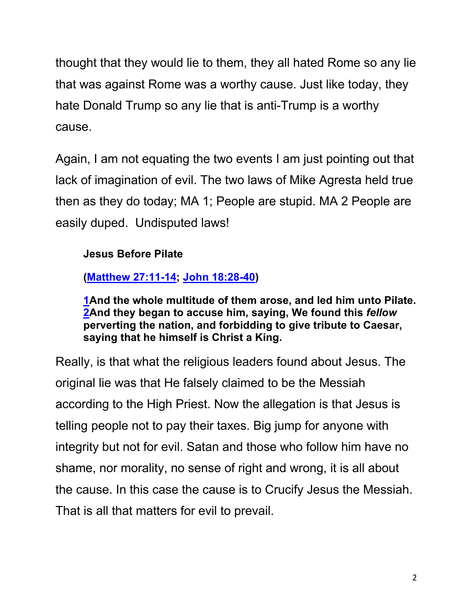thought that they would lie to them, they all hated Rome so any lie that was against Rome was a worthy cause. Just like today, they hate Donald Trump so any lie that is anti-Trump is a worthy cause.

Again, I am not equating the two events I am just pointing out that lack of imagination of evil. The two laws of Mike Agresta held true then as they do today; MA 1; People are stupid. MA 2 People are easily duped. Undisputed laws!

## **Jesus Before Pilate**

**(Matthew 27:11-14; John 18:28-40)**

**1And the whole multitude of them arose, and led him unto Pilate. 2And they began to accuse him, saying, We found this** *fellow* **perverting the nation, and forbidding to give tribute to Caesar, saying that he himself is Christ a King.**

Really, is that what the religious leaders found about Jesus. The original lie was that He falsely claimed to be the Messiah according to the High Priest. Now the allegation is that Jesus is telling people not to pay their taxes. Big jump for anyone with integrity but not for evil. Satan and those who follow him have no shame, nor morality, no sense of right and wrong, it is all about the cause. In this case the cause is to Crucify Jesus the Messiah. That is all that matters for evil to prevail.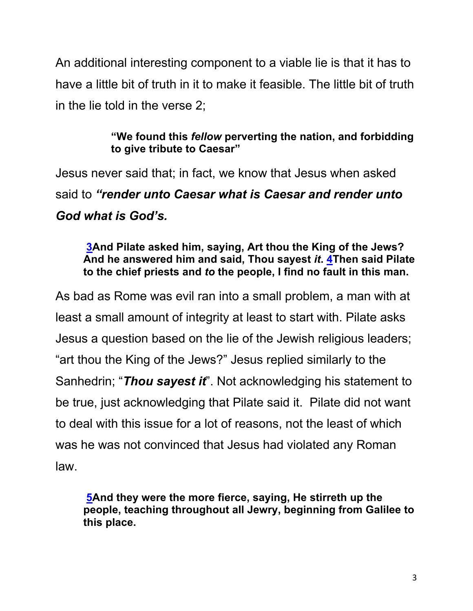An additional interesting component to a viable lie is that it has to have a little bit of truth in it to make it feasible. The little bit of truth in the lie told in the verse 2;

## **"We found this** *fellow* **perverting the nation, and forbidding to give tribute to Caesar"**

Jesus never said that; in fact, we know that Jesus when asked said to *"render unto Caesar what is Caesar and render unto God what is God's.* 

#### **3And Pilate asked him, saying, Art thou the King of the Jews? And he answered him and said, Thou sayest** *it***. 4Then said Pilate to the chief priests and** *to* **the people, I find no fault in this man.**

As bad as Rome was evil ran into a small problem, a man with at least a small amount of integrity at least to start with. Pilate asks Jesus a question based on the lie of the Jewish religious leaders; "art thou the King of the Jews?" Jesus replied similarly to the Sanhedrin; "*Thou sayest it*". Not acknowledging his statement to be true, just acknowledging that Pilate said it. Pilate did not want to deal with this issue for a lot of reasons, not the least of which was he was not convinced that Jesus had violated any Roman law.

**5And they were the more fierce, saying, He stirreth up the people, teaching throughout all Jewry, beginning from Galilee to this place.**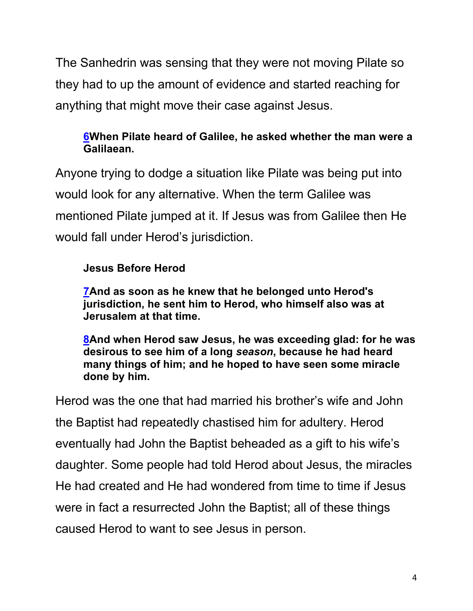The Sanhedrin was sensing that they were not moving Pilate so they had to up the amount of evidence and started reaching for anything that might move their case against Jesus.

## **6When Pilate heard of Galilee, he asked whether the man were a Galilaean.**

Anyone trying to dodge a situation like Pilate was being put into would look for any alternative. When the term Galilee was mentioned Pilate jumped at it. If Jesus was from Galilee then He would fall under Herod's jurisdiction.

## **Jesus Before Herod**

**7And as soon as he knew that he belonged unto Herod's jurisdiction, he sent him to Herod, who himself also was at Jerusalem at that time.**

**8And when Herod saw Jesus, he was exceeding glad: for he was desirous to see him of a long** *season***, because he had heard many things of him; and he hoped to have seen some miracle done by him.**

Herod was the one that had married his brother's wife and John the Baptist had repeatedly chastised him for adultery. Herod eventually had John the Baptist beheaded as a gift to his wife's daughter. Some people had told Herod about Jesus, the miracles He had created and He had wondered from time to time if Jesus were in fact a resurrected John the Baptist; all of these things caused Herod to want to see Jesus in person.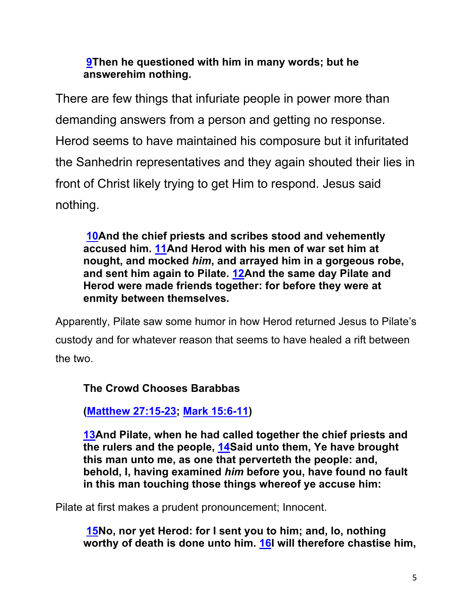#### **9Then he questioned with him in many words; but he answerehim nothing.**

There are few things that infuriate people in power more than demanding answers from a person and getting no response. Herod seems to have maintained his composure but it infuritated the Sanhedrin representatives and they again shouted their lies in front of Christ likely trying to get Him to respond. Jesus said nothing.

**10And the chief priests and scribes stood and vehemently accused him. 11And Herod with his men of war set him at nought, and mocked** *him***, and arrayed him in a gorgeous robe, and sent him again to Pilate. 12And the same day Pilate and Herod were made friends together: for before they were at enmity between themselves.**

Apparently, Pilate saw some humor in how Herod returned Jesus to Pilate's custody and for whatever reason that seems to have healed a rift between the two.

**The Crowd Chooses Barabbas**

**(Matthew 27:15-23; Mark 15:6-11)**

**13And Pilate, when he had called together the chief priests and the rulers and the people, 14Said unto them, Ye have brought this man unto me, as one that perverteth the people: and, behold, I, having examined** *him* **before you, have found no fault in this man touching those things whereof ye accuse him:**

Pilate at first makes a prudent pronouncement; Innocent.

**15No, nor yet Herod: for I sent you to him; and, lo, nothing worthy of death is done unto him. 16I will therefore chastise him,**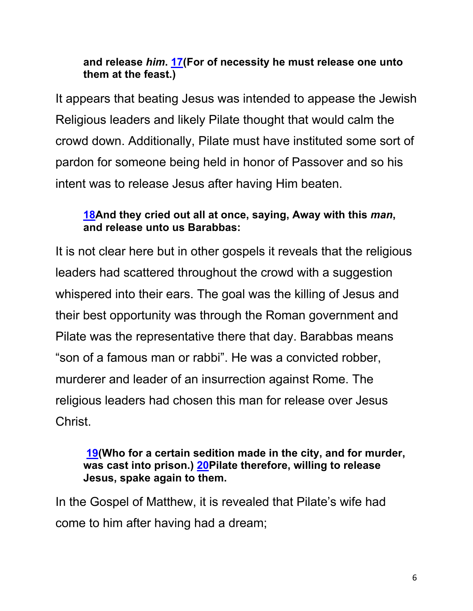#### **and release** *him***. 17(For of necessity he must release one unto them at the feast.)**

It appears that beating Jesus was intended to appease the Jewish Religious leaders and likely Pilate thought that would calm the crowd down. Additionally, Pilate must have instituted some sort of pardon for someone being held in honor of Passover and so his intent was to release Jesus after having Him beaten.

#### **18And they cried out all at once, saying, Away with this** *man***, and release unto us Barabbas:**

It is not clear here but in other gospels it reveals that the religious leaders had scattered throughout the crowd with a suggestion whispered into their ears. The goal was the killing of Jesus and their best opportunity was through the Roman government and Pilate was the representative there that day. Barabbas means "son of a famous man or rabbi". He was a convicted robber, murderer and leader of an insurrection against Rome. The religious leaders had chosen this man for release over Jesus Christ.

#### **19(Who for a certain sedition made in the city, and for murder, was cast into prison.) 20Pilate therefore, willing to release Jesus, spake again to them.**

In the Gospel of Matthew, it is revealed that Pilate's wife had come to him after having had a dream;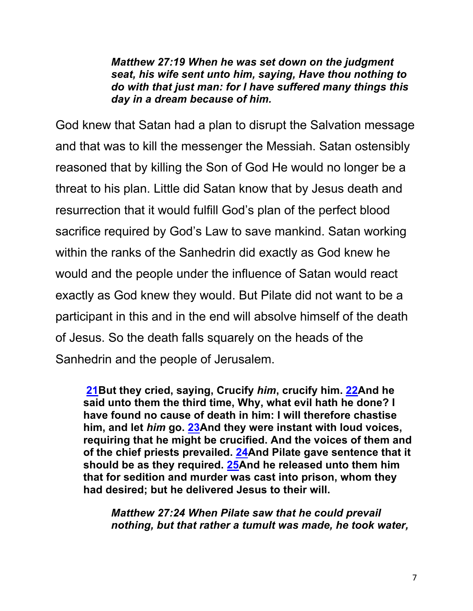*Matthew 27:19 When he was set down on the judgment seat, his wife sent unto him, saying, Have thou nothing to do with that just man: for I have suffered many things this day in a dream because of him.*

God knew that Satan had a plan to disrupt the Salvation message and that was to kill the messenger the Messiah. Satan ostensibly reasoned that by killing the Son of God He would no longer be a threat to his plan. Little did Satan know that by Jesus death and resurrection that it would fulfill God's plan of the perfect blood sacrifice required by God's Law to save mankind. Satan working within the ranks of the Sanhedrin did exactly as God knew he would and the people under the influence of Satan would react exactly as God knew they would. But Pilate did not want to be a participant in this and in the end will absolve himself of the death of Jesus. So the death falls squarely on the heads of the Sanhedrin and the people of Jerusalem.

**21But they cried, saying, Crucify** *him***, crucify him. 22And he said unto them the third time, Why, what evil hath he done? I have found no cause of death in him: I will therefore chastise him, and let** *him* **go. 23And they were instant with loud voices, requiring that he might be crucified. And the voices of them and of the chief priests prevailed. 24And Pilate gave sentence that it should be as they required. 25And he released unto them him that for sedition and murder was cast into prison, whom they had desired; but he delivered Jesus to their will.**

*Matthew 27:24 When Pilate saw that he could prevail nothing, but that rather a tumult was made, he took water,*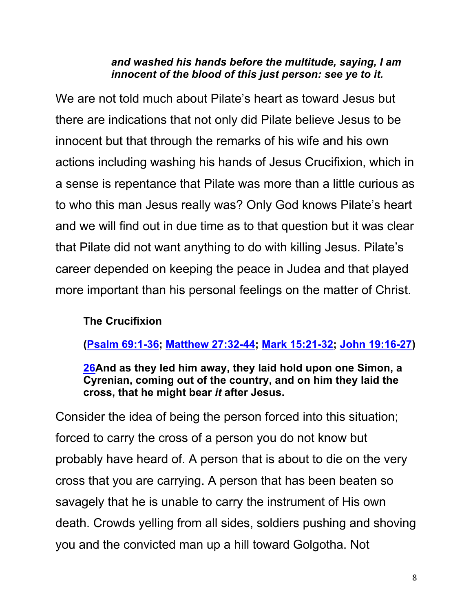#### *and washed his hands before the multitude, saying, I am innocent of the blood of this just person: see ye to it.*

We are not told much about Pilate's heart as toward Jesus but there are indications that not only did Pilate believe Jesus to be innocent but that through the remarks of his wife and his own actions including washing his hands of Jesus Crucifixion, which in a sense is repentance that Pilate was more than a little curious as to who this man Jesus really was? Only God knows Pilate's heart and we will find out in due time as to that question but it was clear that Pilate did not want anything to do with killing Jesus. Pilate's career depended on keeping the peace in Judea and that played more important than his personal feelings on the matter of Christ.

## **The Crucifixion**

**(Psalm 69:1-36; Matthew 27:32-44; Mark 15:21-32; John 19:16-27)**

**26And as they led him away, they laid hold upon one Simon, a Cyrenian, coming out of the country, and on him they laid the cross, that he might bear** *it* **after Jesus.**

Consider the idea of being the person forced into this situation; forced to carry the cross of a person you do not know but probably have heard of. A person that is about to die on the very cross that you are carrying. A person that has been beaten so savagely that he is unable to carry the instrument of His own death. Crowds yelling from all sides, soldiers pushing and shoving you and the convicted man up a hill toward Golgotha. Not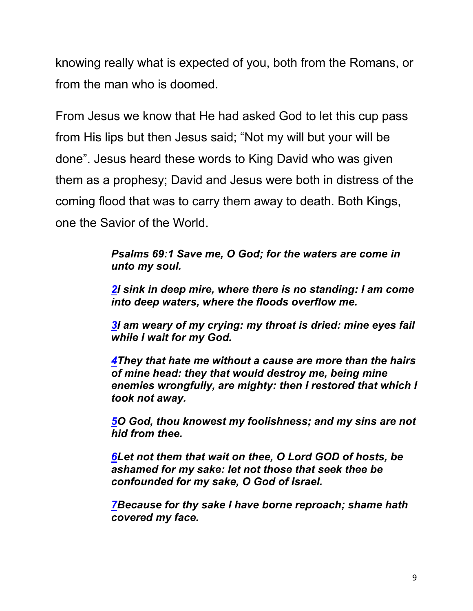knowing really what is expected of you, both from the Romans, or from the man who is doomed.

From Jesus we know that He had asked God to let this cup pass from His lips but then Jesus said; "Not my will but your will be done". Jesus heard these words to King David who was given them as a prophesy; David and Jesus were both in distress of the coming flood that was to carry them away to death. Both Kings, one the Savior of the World.

> *Psalms 69:1 Save me, O God; for the waters are come in unto my soul.*

*2I sink in deep mire, where there is no standing: I am come into deep waters, where the floods overflow me.*

*3I am weary of my crying: my throat is dried: mine eyes fail while I wait for my God.*

*4They that hate me without a cause are more than the hairs of mine head: they that would destroy me, being mine enemies wrongfully, are mighty: then I restored that which I took not away.*

*5O God, thou knowest my foolishness; and my sins are not hid from thee.*

*6Let not them that wait on thee, O Lord GOD of hosts, be ashamed for my sake: let not those that seek thee be confounded for my sake, O God of Israel.*

*7Because for thy sake I have borne reproach; shame hath covered my face.*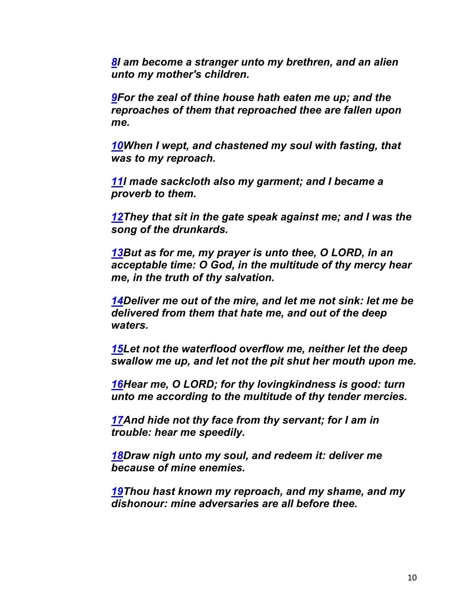*8I am become a stranger unto my brethren, and an alien unto my mother's children.*

*9For the zeal of thine house hath eaten me up; and the reproaches of them that reproached thee are fallen upon me.*

*10When I wept, and chastened my soul with fasting, that was to my reproach.*

*11I made sackcloth also my garment; and I became a proverb to them.*

*12They that sit in the gate speak against me; and I was the song of the drunkards.*

*13But as for me, my prayer is unto thee, O LORD, in an acceptable time: O God, in the multitude of thy mercy hear me, in the truth of thy salvation.*

*14Deliver me out of the mire, and let me not sink: let me be delivered from them that hate me, and out of the deep waters.*

*15Let not the waterflood overflow me, neither let the deep swallow me up, and let not the pit shut her mouth upon me.*

*16Hear me, O LORD; for thy lovingkindness is good: turn unto me according to the multitude of thy tender mercies.*

*17And hide not thy face from thy servant; for I am in trouble: hear me speedily.*

*18Draw nigh unto my soul, and redeem it: deliver me because of mine enemies.*

*19Thou hast known my reproach, and my shame, and my dishonour: mine adversaries are all before thee.*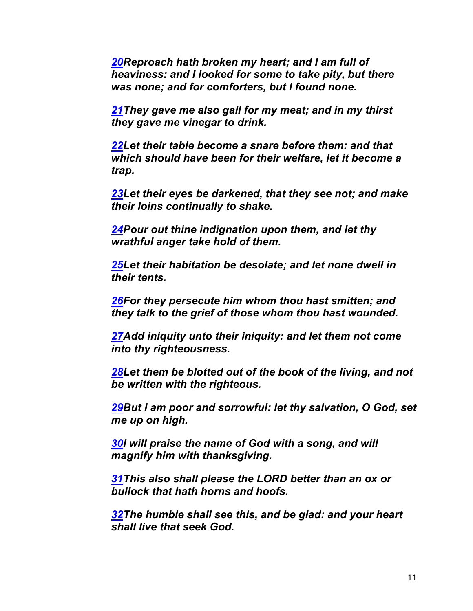*20Reproach hath broken my heart; and I am full of heaviness: and I looked for some to take pity, but there was none; and for comforters, but I found none.*

*21They gave me also gall for my meat; and in my thirst they gave me vinegar to drink.*

*22Let their table become a snare before them: and that which should have been for their welfare, let it become a trap.*

*23Let their eyes be darkened, that they see not; and make their loins continually to shake.*

*24Pour out thine indignation upon them, and let thy wrathful anger take hold of them.*

*25Let their habitation be desolate; and let none dwell in their tents.*

*26For they persecute him whom thou hast smitten; and they talk to the grief of those whom thou hast wounded.*

*27Add iniquity unto their iniquity: and let them not come into thy righteousness.*

*28Let them be blotted out of the book of the living, and not be written with the righteous.*

*29But I am poor and sorrowful: let thy salvation, O God, set me up on high.*

*30I will praise the name of God with a song, and will magnify him with thanksgiving.*

*31This also shall please the LORD better than an ox or bullock that hath horns and hoofs.*

*32The humble shall see this, and be glad: and your heart shall live that seek God.*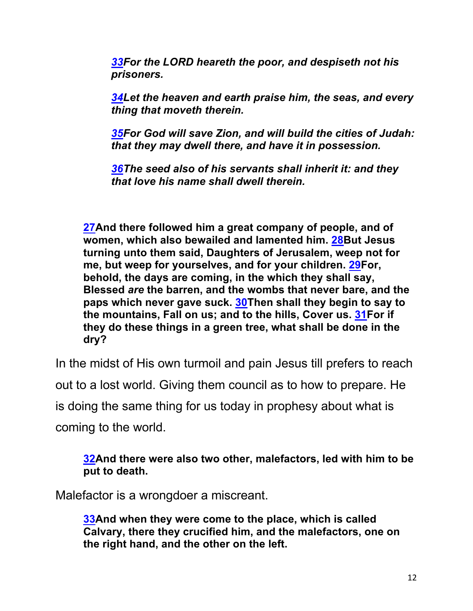*33For the LORD heareth the poor, and despiseth not his prisoners.*

*34Let the heaven and earth praise him, the seas, and every thing that moveth therein.*

*35For God will save Zion, and will build the cities of Judah: that they may dwell there, and have it in possession.*

*36The seed also of his servants shall inherit it: and they that love his name shall dwell therein.*

**27And there followed him a great company of people, and of women, which also bewailed and lamented him. 28But Jesus turning unto them said, Daughters of Jerusalem, weep not for me, but weep for yourselves, and for your children. 29For, behold, the days are coming, in the which they shall say, Blessed** *are* **the barren, and the wombs that never bare, and the paps which never gave suck. 30Then shall they begin to say to the mountains, Fall on us; and to the hills, Cover us. 31For if they do these things in a green tree, what shall be done in the dry?**

In the midst of His own turmoil and pain Jesus till prefers to reach out to a lost world. Giving them council as to how to prepare. He is doing the same thing for us today in prophesy about what is coming to the world.

**32And there were also two other, malefactors, led with him to be put to death.**

Malefactor is a wrongdoer a miscreant.

**33And when they were come to the place, which is called Calvary, there they crucified him, and the malefactors, one on the right hand, and the other on the left.**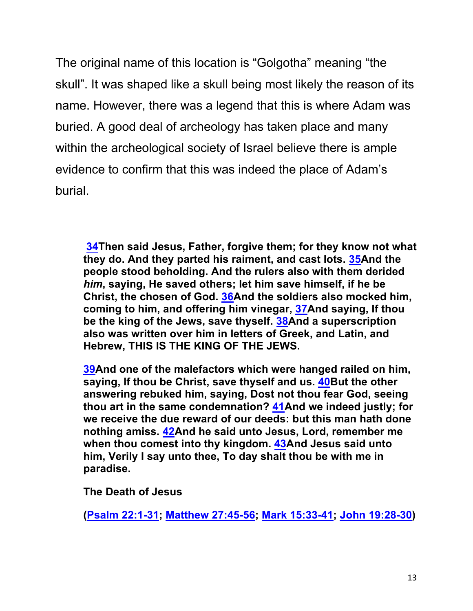The original name of this location is "Golgotha" meaning "the skull". It was shaped like a skull being most likely the reason of its name. However, there was a legend that this is where Adam was buried. A good deal of archeology has taken place and many within the archeological society of Israel believe there is ample evidence to confirm that this was indeed the place of Adam's burial.

**34Then said Jesus, Father, forgive them; for they know not what they do. And they parted his raiment, and cast lots. 35And the people stood beholding. And the rulers also with them derided**  *him***, saying, He saved others; let him save himself, if he be Christ, the chosen of God. 36And the soldiers also mocked him, coming to him, and offering him vinegar, 37And saying, If thou be the king of the Jews, save thyself. 38And a superscription also was written over him in letters of Greek, and Latin, and Hebrew, THIS IS THE KING OF THE JEWS.**

**39And one of the malefactors which were hanged railed on him, saying, If thou be Christ, save thyself and us. 40But the other answering rebuked him, saying, Dost not thou fear God, seeing thou art in the same condemnation? 41And we indeed justly; for we receive the due reward of our deeds: but this man hath done nothing amiss. 42And he said unto Jesus, Lord, remember me when thou comest into thy kingdom. 43And Jesus said unto him, Verily I say unto thee, To day shalt thou be with me in paradise.**

**The Death of Jesus**

**(Psalm 22:1-31; Matthew 27:45-56; Mark 15:33-41; John 19:28-30)**